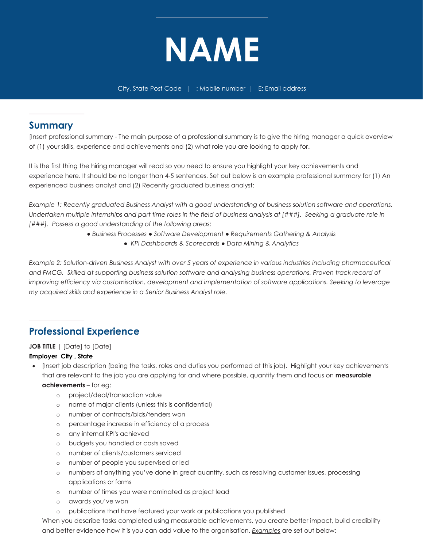

### **Summary**

[Insert professional summary - The main purpose of a professional summary is to give the hiring manager a quick overview of (1) your skills, experience and achievements and (2) what role you are looking to apply for.

It is the first thing the hiring manager will read so you need to ensure you highlight your key achievements and experience here. It should be no longer than 4-5 sentences. Set out below is an example professional summary for (1) An experienced business analyst and (2) Recently graduated business analyst:

*Example 1: Recently graduated Business Analyst with a good understanding of business solution software and operations. Undertaken multiple internships and part time roles in the field of business analysis at [###]. Seeking a graduate role in [###]. Possess a good understanding of the following areas:*

- *Business Processes Software Development Requirements Gathering & Analysis* 
	- *KPI Dashboards & Scorecards Data Mining & Analytics*

*Example 2: Solution-driven Business Analyst with over 5 years of experience in various industries including pharmaceutical* and FMCG. Skilled at supporting business solution software and analysing business operations. Proven track record of *improving efficiency via customisation, development and implementation of software applications. Seeking to leverage my acquired skills and experience in a Senior Business Analyst role.*

# **Professional Experience**

### **JOB TITLE** | [Date] to [Date]

#### **Employer City , State**

- [Insert job description (being the tasks, roles and duties you performed at this job). Highlight your key achievements that are relevant to the job you are applying for and where possible, quantify them and focus on **measurable achievements** – for eg:
	- o project/deal/transaction value
	- o name of major clients (unless this is confidential)
	- o number of contracts/bids/tenders won
	- o percentage increase in efficiency of a process
	- o any internal KPI's achieved
	- o budgets you handled or costs saved
	- o number of clients/customers serviced
	- o number of people you supervised or led
	- o numbers of anything you've done in great quantity, such as resolving customer issues, processing applications or forms
	- o number of times you were nominated as project lead
	- o awards you've won
	- o publications that have featured your work or publications you published

When you describe tasks completed using measurable achievements, you create better impact, build credibility and better evidence how it is you can add value to the organisation. *Examples* are set out below: